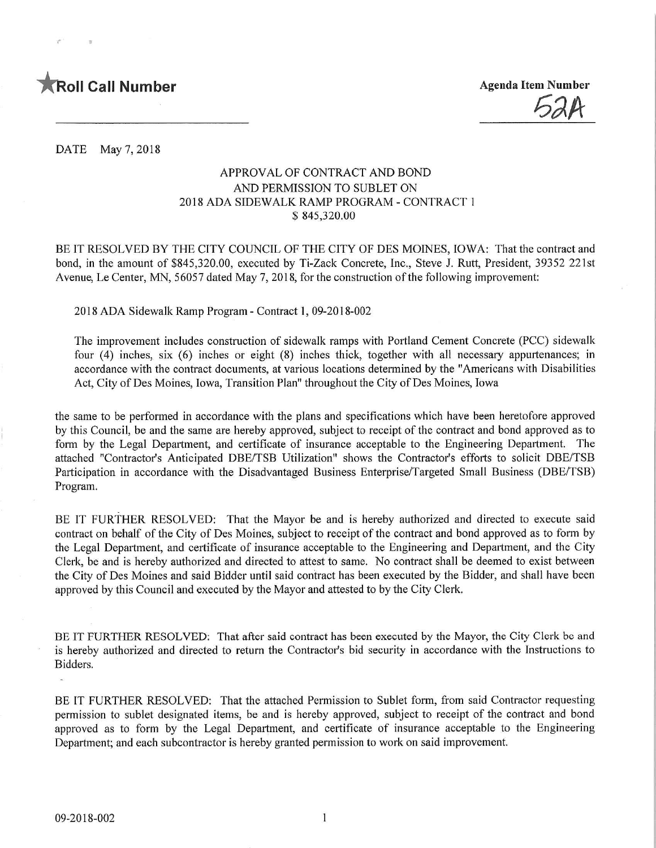## \*ROil Call Number Agenda Item Number

52A

DATE May 7, 2018

## APPROVAL OF CONTRACT AND BOND AND PERMISSION TO SUBLET ON 2018 ADA SIDEWALK RAMP PROGRAM - CONTRACT 1 \$ 845,320.00

BE IT RESOLVED BY THE CITY COUNCIL OF THE CITY OF DES MOINES, IOWA: That the contract and bond, in the amount of \$845,320.00, executed by Ti-Zack Concrete, Inc., Steve J. Rutt, President, 39352 221st Avenue, Le Center, MN, 56057 dated May 7, 2018, for the construction of the following improvement:

2018 ADA Sidewalk Ramp Program-Contract 1, 09-2018-002

The improvement includes construction of sidewalk ramps with Portland Cement Concrete (PCC) sidewalk four (4) inches, six (6) inches or eight (8) inches thick, together with all necessary appurtenances; in accordance with the contract documents, at various locations determined by the "Americans with Disabilities Act, City of Des Moines, Iowa, Transition Plan" throughout the City of Des Moines, Iowa

the same to be performed in accordance with the plans and specifications which have been heretofore approved by this Council, be and the same are hereby approved, subject to receipt of the contract and bond approved as to form by the Legal Department, and certificate of insurance acceptable to the Engineering Department. The attached "Contractor's Anticipated DBE/TSB Utilization" shows the Contractor's efforts to solicit DBE/TSB Participation in accordance with the Disadvantaged Business Enterprise/Targeted Small Business (DBE/TSB) Program.

BE IT FURTHER RESOLVED: That the Mayor be and is hereby authorized and directed to execute said contract on behalf of the City of Des Moines, subject to receipt of the contract and bond approved as to form by the Legal Department, and certificate of insurance acceptable to the Engineering and Department, and the City Clerk, be and is hereby authorized and directed to attest to same. No contract shall be deemed to exist between the City of Des Moines and said Bidder until said contract has been executed by the Bidder, and shall have been approved by this Council and executed by the Mayor and attested to by the City Clerk.

BE IT FURTHER RESOLVED: That after said contract has been executed by the Mayor, the City Clerk be and is hereby authorized and directed to return the Contractor's bid security in accordance with the Instructions to Bidders.

BE IT FURTHER RESOLVED: That the attached Permission to Sublet form, from said Contractor requesting permission to sublet designated items, be and is hereby approved, subject to receipt of the contract and bond approved as to form by the Legal Department, and certificate of insurance acceptable to the Engineering Department; and each subcontractor is hereby granted permission to work on said improvement.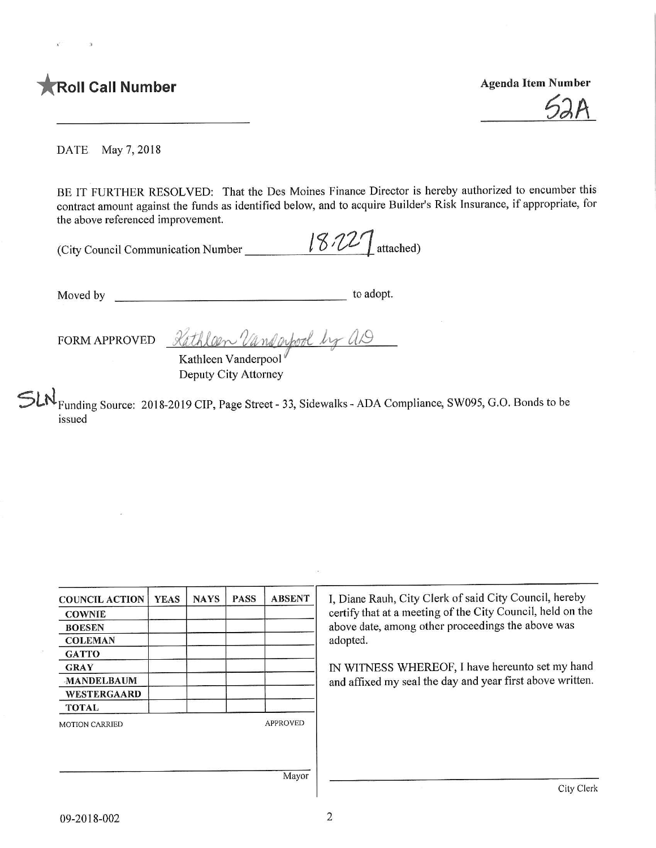

 $53A$ 

DATE May 7, 2018

BE IT FURTHER RESOLVED: That the Des Moines Finance Director is hereby authorized to encumber this contract amount against the funds as identified below, and to acquire Builder's Risk Insurance, if appropriate, for the above referenced improvement.

| (City Council Communication Number | $18.227$ attached) |  |
|------------------------------------|--------------------|--|
|                                    |                    |  |

Moved by to adopt.

 $FORM APPROVED$   $Rathløn Vandahodh Vr$ 

Kathleen Vanderpool

Deputy City Attorney

Funding Source: 2018-2019 CIP, Page Street - 33, Sidewalks - ADA Compliance, SW095, G.O. Bonds to be issued

| <b>COUNCIL ACTION</b> | <b>YEAS</b> | <b>NAYS</b> | <b>PASS</b> | <b>ABSENT</b>   | I, Diane Rauh, City Clerk of said City Council, hereby     |
|-----------------------|-------------|-------------|-------------|-----------------|------------------------------------------------------------|
| <b>COWNIE</b>         |             |             |             |                 | certify that at a meeting of the City Council, held on the |
| <b>BOESEN</b>         |             |             |             |                 | above date, among other proceedings the above was          |
| <b>COLEMAN</b>        |             |             |             |                 | adopted.                                                   |
| <b>GATTO</b>          |             |             |             |                 |                                                            |
| <b>GRAY</b>           |             |             |             |                 | IN WITNESS WHEREOF, I have hereunto set my hand            |
| <b>MANDELBAUM</b>     |             |             |             |                 | and affixed my seal the day and year first above written.  |
| WESTERGAARD           |             |             |             |                 |                                                            |
| <b>TOTAL</b>          |             |             |             |                 |                                                            |
| <b>MOTION CARRIED</b> |             |             |             | <b>APPROVED</b> |                                                            |
|                       |             |             |             |                 |                                                            |
|                       |             |             |             | Mayor           |                                                            |
|                       |             |             |             |                 | City Clerk                                                 |